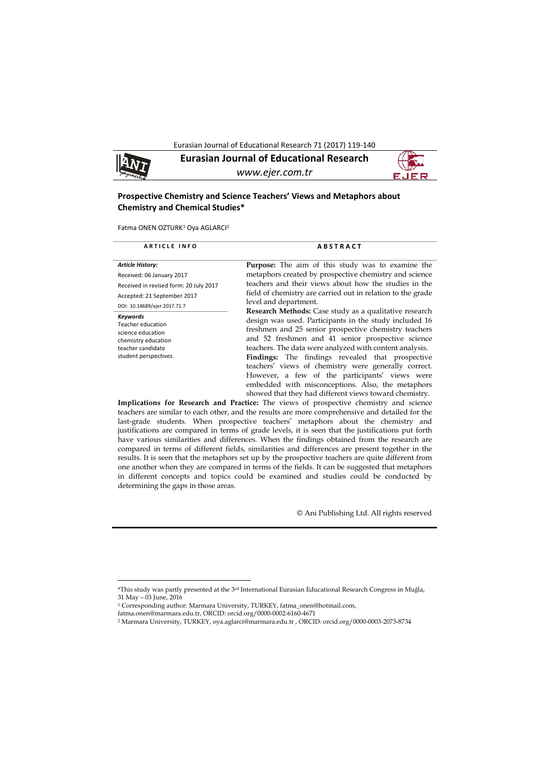Eurasian Journal of Educational Research 71 (2017) 119-140

**Eurasian Journal of Educational Research** *www.ejer.com.tr*

# **Prospective Chemistry and Science Teachers' Views and Metaphors about Chemistry and Chemical Studies\***

Fatma ONEN OZTURK<sup>[1](#page-0-0)</sup> Oya AGLARCI<sup>2</sup>

| <b>ARTICLE INFO</b>                                                                                                            | <b>ABSTRACT</b>                                                                                                                                                                                                                                                                                                                                                                                                                                                                                                     |
|--------------------------------------------------------------------------------------------------------------------------------|---------------------------------------------------------------------------------------------------------------------------------------------------------------------------------------------------------------------------------------------------------------------------------------------------------------------------------------------------------------------------------------------------------------------------------------------------------------------------------------------------------------------|
| <b>Article History:</b><br>Received: 06 January 2017<br>Received in revised form: 20 July 2017                                 | <b>Purpose:</b> The aim of this study was to examine the<br>metaphors created by prospective chemistry and science<br>teachers and their views about how the studies in the                                                                                                                                                                                                                                                                                                                                         |
| Accepted: 21 September 2017<br>DOI: 10.14689/ejer.2017.71.7                                                                    | field of chemistry are carried out in relation to the grade<br>level and department.<br>Research Methods: Case study as a qualitative research                                                                                                                                                                                                                                                                                                                                                                      |
| Keywords<br><b>Teacher education</b><br>science education<br>chemistry education<br>teacher candidate<br>student perspectives. | design was used. Participants in the study included 16<br>freshmen and 25 senior prospective chemistry teachers<br>and 52 freshmen and 41 senior prospective science<br>teachers. The data were analyzed with content analysis.<br><b>Findings:</b> The findings revealed that prospective<br>teachers' views of chemistry were generally correct.<br>However, a few of the participants' views were<br>embedded with misconceptions. Also, the metaphors<br>showed that they had different views toward chemistry. |

**Implications for Research and Practice:** The views of prospective chemistry and science teachers are similar to each other, and the results are more comprehensive and detailed for the last-grade students. When prospective teachers' metaphors about the chemistry and justifications are compared in terms of grade levels, it is seen that the justifications put forth have various similarities and differences. When the findings obtained from the research are compared in terms of different fields, similarities and differences are present together in the results. It is seen that the metaphors set up by the prospective teachers are quite different from one another when they are compared in terms of the fields. It can be suggested that metaphors in different concepts and topics could be examined and studies could be conducted by determining the gaps in those areas.

© Ani Publishing Ltd. All rights reserved

 $\overline{a}$ 

<span id="page-0-0"></span><sup>\*</sup>This study was partly presented at the 3rd International Eurasian Educational Research Congress in Muğla, 31 May – 03 June, 2016

<sup>1</sup> Corresponding author: Marmara University, TURKEY[, fatma\\_onen@hotmail.com,](mailto:fatma_onen@hotmail.com) 

fatma.onen@marmara.edu.tr, ORCID: orcid.org/0000-0002-6160-4671

<sup>2</sup> Marmara University, TURKEY[, oya.aglarci@marmara.edu.tr](mailto:oya.aglarci@marmara.edu.tr) , ORCID: orcid.org/0000-0003-2073-8734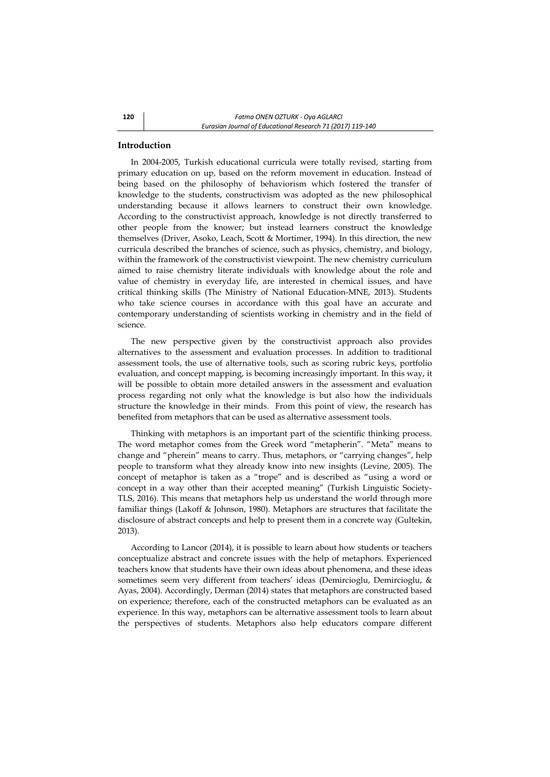# **Introduction**

In 2004-2005, Turkish educational curricula were totally revised, starting from primary education on up, based on the reform movement in education. Instead of being based on the philosophy of behaviorism which fostered the transfer of knowledge to the students, constructivism was adopted as the new philosophical understanding because it allows learners to construct their own knowledge. According to the constructivist approach, knowledge is not directly transferred to other people from the knower; but instead learners construct the knowledge themselves (Driver, Asoko, Leach, Scott & Mortimer, 1994). In this direction, the new curricula described the branches of science, such as physics, chemistry, and biology, within the framework of the constructivist viewpoint. The new chemistry curriculum aimed to raise chemistry literate individuals with knowledge about the role and value of chemistry in everyday life, are interested in chemical issues, and have critical thinking skills (The Ministry of National Education-MNE, 2013). Students who take science courses in accordance with this goal have an accurate and contemporary understanding of scientists working in chemistry and in the field of science.

The new perspective given by the constructivist approach also provides alternatives to the assessment and evaluation processes. In addition to traditional assessment tools, the use of alternative tools, such as scoring rubric keys, portfolio evaluation, and concept mapping, is becoming increasingly important. In this way, it will be possible to obtain more detailed answers in the assessment and evaluation process regarding not only what the knowledge is but also how the individuals structure the knowledge in their minds. From this point of view, the research has benefited from metaphors that can be used as alternative assessment tools.

Thinking with metaphors is an important part of the scientific thinking process. The word metaphor comes from the Greek word "metapherin". "Meta" means to change and "pherein" means to carry. Thus, metaphors, or "carrying changes", help people to transform what they already know into new insights (Levine, 2005). The concept of metaphor is taken as a "trope" and is described as "using a word or concept in a way other than their accepted meaning" [\(Turkish Linguistic Society-](http://tureng.com/tr/turkce-ingilizce/turkish%20linguistic%20society)TLS, 2016). This means that metaphors help us understand the world through more familiar things (Lakoff & Johnson, 1980). Metaphors are structures that facilitate the disclosure of abstract concepts and help to present them in a concrete way (Gultekin, 2013).

According to Lancor (2014), it is possible to learn about how students or teachers conceptualize abstract and concrete issues with the help of metaphors. Experienced teachers know that students have their own ideas about phenomena, and these ideas sometimes seem very different from teachers' ideas (Demircioglu, Demircioglu, & Ayas, 2004). Accordingly, Derman (2014) states that metaphors are constructed based on experience; therefore, each of the constructed metaphors can be evaluated as an experience. In this way, metaphors can be alternative assessment tools to learn about the perspectives of students. Metaphors also help educators compare different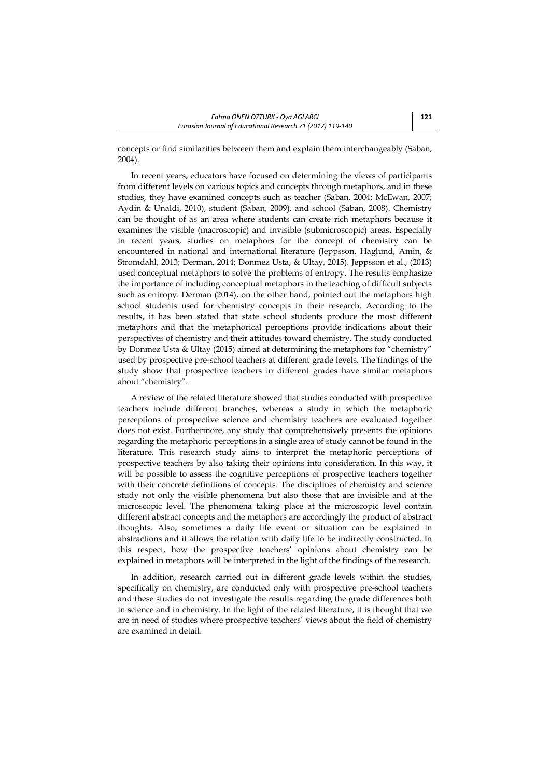concepts or find similarities between them and explain them interchangeably (Saban, 2004).

In recent years, educators have focused on determining the views of participants from different levels on various topics and concepts through metaphors, and in these studies, they have examined concepts such as teacher (Saban, 2004; McEwan, 2007; Aydin & Unaldi, 2010), student (Saban, 2009), and school (Saban, 2008). Chemistry can be thought of as an area where students can create rich metaphors because it examines the visible (macroscopic) and invisible (submicroscopic) areas. Especially in recent years, studies on metaphors for the concept of chemistry can be encountered in national and international literature (Jeppsson, Haglund, Amin, & Stromdahl, 2013; Derman, 2014; Donmez Usta, & Ultay, 2015). Jeppsson et al., (2013) used conceptual metaphors to solve the problems of entropy. The results emphasize the importance of including conceptual metaphors in the teaching of difficult subjects such as entropy. Derman (2014), on the other hand, pointed out the metaphors high school students used for chemistry concepts in their research. According to the results, it has been stated that state school students produce the most different metaphors and that the metaphorical perceptions provide indications about their perspectives of chemistry and their attitudes toward chemistry. The study conducted by Donmez Usta & Ultay (2015) aimed at determining the metaphors for "chemistry" used by prospective pre-school teachers at different grade levels. The findings of the study show that prospective teachers in different grades have similar metaphors about "chemistry".

A review of the related literature showed that studies conducted with prospective teachers include different branches, whereas a study in which the metaphoric perceptions of prospective science and chemistry teachers are evaluated together does not exist. Furthermore, any study that comprehensively presents the opinions regarding the metaphoric perceptions in a single area of study cannot be found in the literature. This research study aims to interpret the metaphoric perceptions of prospective teachers by also taking their opinions into consideration. In this way, it will be possible to assess the cognitive perceptions of prospective teachers together with their concrete definitions of concepts. The disciplines of chemistry and science study not only the visible phenomena but also those that are invisible and at the microscopic level. The phenomena taking place at the microscopic level contain different abstract concepts and the metaphors are accordingly the product of abstract thoughts. Also, sometimes a daily life event or situation can be explained in abstractions and it allows the relation with daily life to be indirectly constructed. In this respect, how the prospective teachers' opinions about chemistry can be explained in metaphors will be interpreted in the light of the findings of the research.

In addition, research carried out in different grade levels within the studies, specifically on chemistry, are conducted only with prospective pre-school teachers and these studies do not investigate the results regarding the grade differences both in science and in chemistry. In the light of the related literature, it is thought that we are in need of studies where prospective teachers' views about the field of chemistry are examined in detail.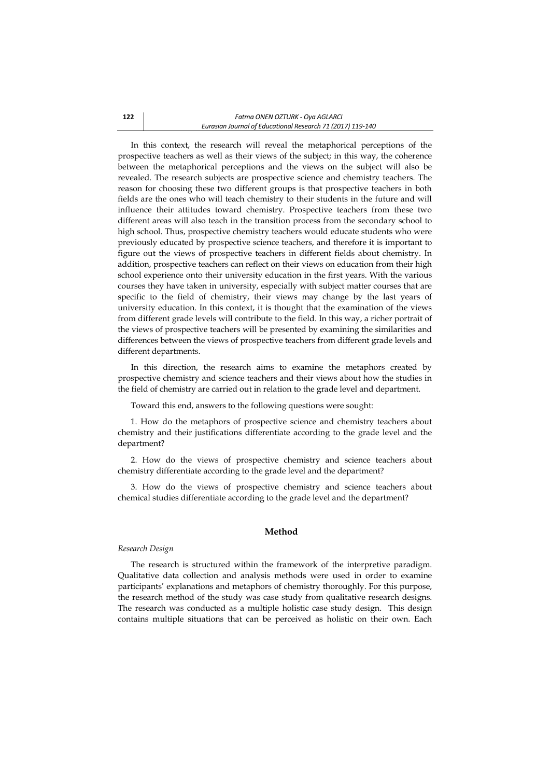In this context, the research will reveal the metaphorical perceptions of the prospective teachers as well as their views of the subject; in this way, the coherence between the metaphorical perceptions and the views on the subject will also be revealed. The research subjects are prospective science and chemistry teachers. The reason for choosing these two different groups is that prospective teachers in both fields are the ones who will teach chemistry to their students in the future and will influence their attitudes toward chemistry. Prospective teachers from these two different areas will also teach in the transition process from the secondary school to high school. Thus, prospective chemistry teachers would educate students who were previously educated by prospective science teachers, and therefore it is important to figure out the views of prospective teachers in different fields about chemistry. In addition, prospective teachers can reflect on their views on education from their high school experience onto their university education in the first years. With the various courses they have taken in university, especially with subject matter courses that are specific to the field of chemistry, their views may change by the last years of university education. In this context, it is thought that the examination of the views from different grade levels will contribute to the field. In this way, a richer portrait of the views of prospective teachers will be presented by examining the similarities and differences between the views of prospective teachers from different grade levels and different departments.

In this direction, the research aims to examine the metaphors created by prospective chemistry and science teachers and their views about how the studies in the field of chemistry are carried out in relation to the grade level and department.

Toward this end, answers to the following questions were sought:

1. How do the metaphors of prospective science and chemistry teachers about chemistry and their justifications differentiate according to the grade level and the department?

2. How do the views of prospective chemistry and science teachers about chemistry differentiate according to the grade level and the department?

3. How do the views of prospective chemistry and science teachers about chemical studies differentiate according to the grade level and the department?

# **Method**

### *Research Design*

The research is structured within the framework of the interpretive paradigm. Qualitative data collection and analysis methods were used in order to examine participants' explanations and metaphors of chemistry thoroughly. For this purpose, the research method of the study was case study from qualitative research designs. The research was conducted as a multiple holistic case study design. This design contains multiple situations that can be perceived as holistic on their own. Each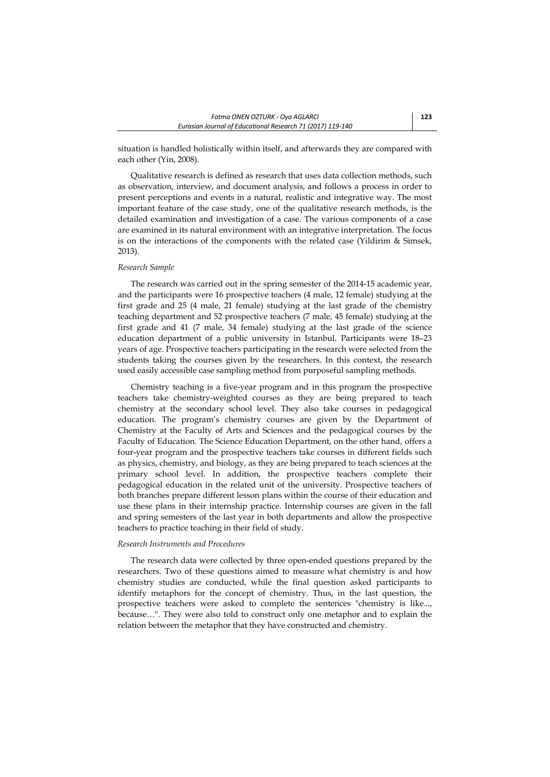situation is handled holistically within itself, and afterwards they are compared with each other (Yin, 2008).

Qualitative research is defined as research that uses data collection methods, such as observation, interview, and document analysis, and follows a process in order to present perceptions and events in a natural, realistic and integrative way. The most important feature of the case study, one of the qualitative research methods, is the detailed examination and investigation of a case. The various components of a case are examined in its natural environment with an integrative interpretation. The focus is on the interactions of the components with the related case (Yildirim & Simsek, 2013).

### *Research Sample*

The research was carried out in the spring semester of the 2014-15 academic year, and the participants were 16 prospective teachers (4 male, 12 female) studying at the first grade and 25 (4 male, 21 female) studying at the last grade of the chemistry teaching department and 52 prospective teachers (7 male, 45 female) studying at the first grade and 41 (7 male, 34 female) studying at the last grade of the science education department of a public university in Istanbul. Participants were 18–23 years of age. Prospective teachers participating in the research were selected from the students taking the courses given by the researchers. In this context, the research used easily accessible case sampling method from purposeful sampling methods.

Chemistry teaching is a five-year program and in this program the prospective teachers take chemistry-weighted courses as they are being prepared to teach chemistry at the secondary school level. They also take courses in pedagogical education. The program's chemistry courses are given by the Department of Chemistry at the Faculty of Arts and Sciences and the pedagogical courses by the Faculty of Education. The Science Education Department, on the other hand, offers a four-year program and the prospective teachers take courses in different fields such as physics, chemistry, and biology, as they are being prepared to teach sciences at the primary school level. In addition, the prospective teachers complete their pedagogical education in the related unit of the university. Prospective teachers of both branches prepare different lesson plans within the course of their education and use these plans in their internship practice. Internship courses are given in the fall and spring semesters of the last year in both departments and allow the prospective teachers to practice teaching in their field of study.

#### *Research Instruments and Procedures*

The research data were collected by three open-ended questions prepared by the researchers. Two of these questions aimed to measure what chemistry is and how chemistry studies are conducted, while the final question asked participants to identify metaphors for the concept of chemistry. Thus, in the last question, the prospective teachers were asked to complete the sentences "chemistry is like..., because…". They were also told to construct only one metaphor and to explain the relation between the metaphor that they have constructed and chemistry.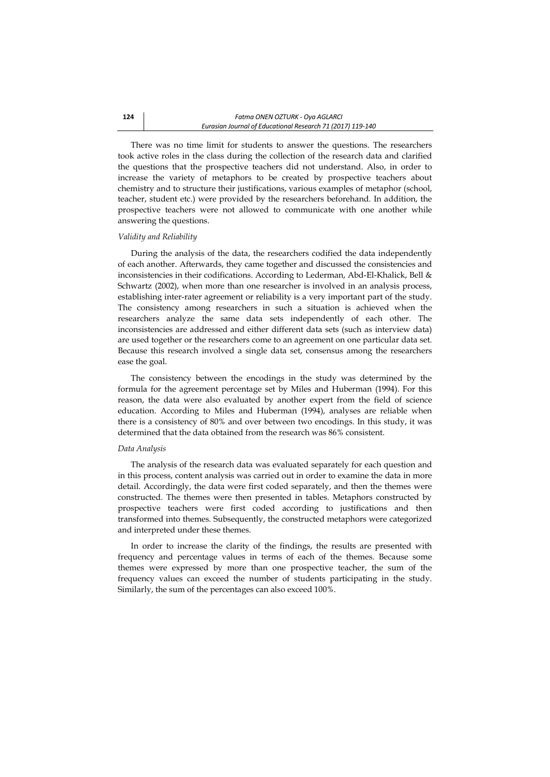There was no time limit for students to answer the questions. The researchers took active roles in the class during the collection of the research data and clarified the questions that the prospective teachers did not understand. Also, in order to increase the variety of metaphors to be created by prospective teachers about chemistry and to structure their justifications, various examples of metaphor (school, teacher, student etc.) were provided by the researchers beforehand. In addition, the prospective teachers were not allowed to communicate with one another while answering the questions.

#### *Validity and Reliability*

During the analysis of the data, the researchers codified the data independently of each another. Afterwards, they came together and discussed the consistencies and inconsistencies in their codifications. According to Lederman, Abd-El-Khalick, Bell & Schwartz (2002), when more than one researcher is involved in an analysis process, establishing inter-rater agreement or reliability is a very important part of the study. The consistency among researchers in such a situation is achieved when the researchers analyze the same data sets independently of each other. The inconsistencies are addressed and either different data sets (such as interview data) are used together or the researchers come to an agreement on one particular data set. Because this research involved a single data set, consensus among the researchers ease the goal.

The consistency between the encodings in the study was determined by the formula for the agreement percentage set by Miles and Huberman (1994). For this reason, the data were also evaluated by another expert from the field of science education. According to Miles and Huberman (1994), analyses are reliable when there is a consistency of 80% and over between two encodings. In this study, it was determined that the data obtained from the research was 86% consistent.

### *Data Analysis*

The analysis of the research data was evaluated separately for each question and in this process, content analysis was carried out in order to examine the data in more detail. Accordingly, the data were first coded separately, and then the themes were constructed. The themes were then presented in tables. Metaphors constructed by prospective teachers were first coded according to justifications and then transformed into themes. Subsequently, the constructed metaphors were categorized and interpreted under these themes.

In order to increase the clarity of the findings, the results are presented with frequency and percentage values in terms of each of the themes. Because some themes were expressed by more than one prospective teacher, the sum of the frequency values can exceed the number of students participating in the study. Similarly, the sum of the percentages can also exceed 100%.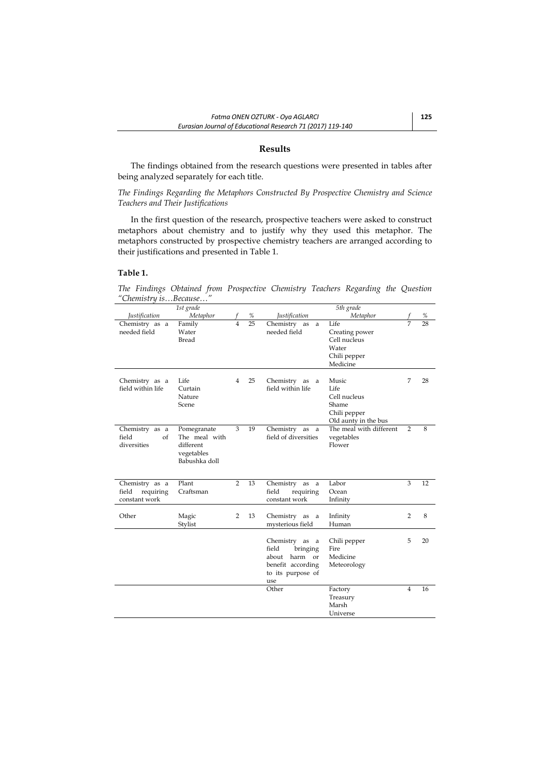### **Results**

The findings obtained from the research questions were presented in tables after being analyzed separately for each title.

*The Findings Regarding the Metaphors Constructed By Prospective Chemistry and Science Teachers and Their Justifications* 

In the first question of the research, prospective teachers were asked to construct metaphors about chemistry and to justify why they used this metaphor. The metaphors constructed by prospective chemistry teachers are arranged according to their justifications and presented in Table 1.

## **Table 1.**

*The Findings Obtained from Prospective Chemistry Teachers Regarding the Question "Chemistry is…Because…"*

|                                                       | 1st grade                                                                |                         |    |                                                                                                          | 5th grade                                                                      |                |    |
|-------------------------------------------------------|--------------------------------------------------------------------------|-------------------------|----|----------------------------------------------------------------------------------------------------------|--------------------------------------------------------------------------------|----------------|----|
| <i><u><b>Iustification</b></u></i>                    | Metaphor                                                                 |                         | %  | <i><u><b>Iustification</b></u></i>                                                                       | Metaphor                                                                       |                | %  |
| Chemistry as a<br>needed field                        | Family<br>Water<br>Bread                                                 | $\overline{\mathbf{4}}$ | 25 | Chemistry as<br>a<br>needed field                                                                        | Life<br>Creating power<br>Cell nucleus<br>Water<br>Chili pepper<br>Medicine    | 7              | 28 |
| Chemistry as a<br>field within life                   | Life<br>Curtain<br>Nature<br>Scene                                       | 4                       | 25 | Chemistry as<br>a<br>field within life                                                                   | Music<br>Life<br>Cell nucleus<br>Shame<br>Chili pepper<br>Old aunty in the bus | 7              | 28 |
| Chemistry as a<br>field<br>$\alpha$ f<br>diversities  | Pomegranate<br>The meal with<br>different<br>vegetables<br>Babushka doll | 3                       | 19 | Chemistry as a<br>field of diversities                                                                   | The meal with different<br>vegetables<br>Flower                                | 2              | 8  |
| Chemistry as a<br>field<br>requiring<br>constant work | Plant<br>Craftsman                                                       | $\overline{2}$          | 13 | Chemistry as<br>a<br>field<br>requiring<br>constant work                                                 | Labor<br>Ocean<br>Infinity                                                     | 3              | 12 |
| Other                                                 | Magic<br>Stylist                                                         | 2                       | 13 | Chemistry as a<br>mysterious field                                                                       | Infinity<br>Human                                                              | $\overline{2}$ | 8  |
|                                                       |                                                                          |                         |    | Chemistry as a<br>field<br>bringing<br>harm or<br>about<br>benefit according<br>to its purpose of<br>use | Chili pepper<br>Fire<br>Medicine<br>Meteorology                                | 5              | 20 |
|                                                       |                                                                          |                         |    | Other                                                                                                    | Factory<br>Treasury<br>Marsh<br>Universe                                       | $\overline{4}$ | 16 |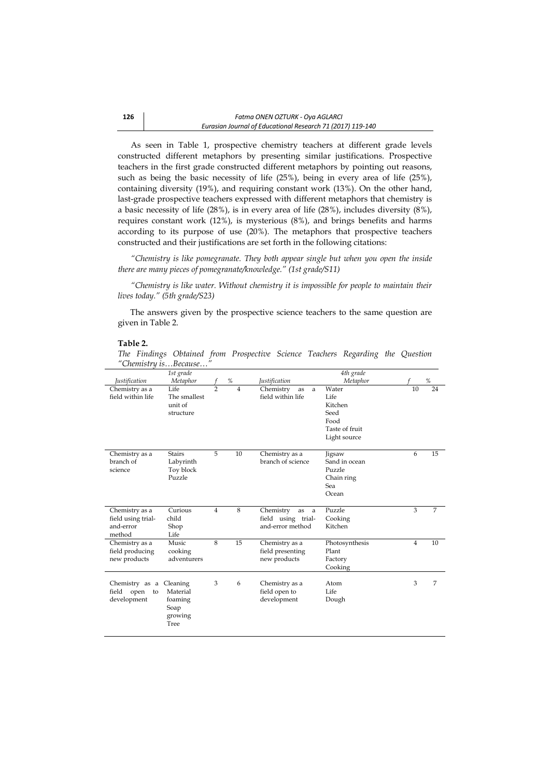As seen in Table 1, prospective chemistry teachers at different grade levels constructed different metaphors by presenting similar justifications. Prospective teachers in the first grade constructed different metaphors by pointing out reasons, such as being the basic necessity of life (25%), being in every area of life (25%), containing diversity (19%), and requiring constant work (13%). On the other hand, last-grade prospective teachers expressed with different metaphors that chemistry is a basic necessity of life (28%), is in every area of life (28%), includes diversity (8%), requires constant work (12%), is mysterious (8%), and brings benefits and harms according to its purpose of use (20%). The metaphors that prospective teachers constructed and their justifications are set forth in the following citations:

*"Chemistry is like pomegranate. They both appear single but when you open the inside there are many pieces of pomegranate/knowledge." (1st grade/S11)*

*"Chemistry is like water. Without chemistry it is impossible for people to maintain their lives today." (5th grade/S23)*

The answers given by the prospective science teachers to the same question are given in Table 2.

#### **Table 2.**

*The Findings Obtained from Prospective Science Teachers Regarding the Question "Chemistry is…Because…"* 

|                                                             | 1st grade                                                  |                |                |                                                                | 4th grade                                                                  |                |      |
|-------------------------------------------------------------|------------------------------------------------------------|----------------|----------------|----------------------------------------------------------------|----------------------------------------------------------------------------|----------------|------|
| <i><u><b>Iustification</b></u></i>                          | Metaphor                                                   |                | $\%$           | <i>Justification</i>                                           | Metaphor                                                                   |                | $\%$ |
| Chemistry as a<br>field within life                         | Life<br>The smallest<br>unit of<br>structure               | $\mathcal{P}$  | $\overline{4}$ | Chemistry<br>as<br>a<br>field within life                      | Water<br>Life<br>Kitchen<br>Seed<br>Food<br>Taste of fruit<br>Light source | 10             | 24   |
| Chemistry as a<br>branch of<br>science                      | <b>Stairs</b><br>Labyrinth<br>Toy block<br>Puzzle          | 5              | 10             | Chemistry as a<br>branch of science                            | Jigsaw<br>Sand in ocean<br>Puzzle<br>Chain ring<br>Sea<br>Ocean            | 6              | 15   |
| Chemistry as a<br>field using trial-<br>and-error<br>method | Curious<br>child<br>Shop<br>Life                           | $\overline{4}$ | 8              | Chemistry<br>as<br>a<br>field using trial-<br>and-error method | Puzzle<br>Cooking<br>Kitchen                                               | 3              | 7    |
| Chemistry as a<br>field producing<br>new products           | Music<br>cooking<br>adventurers                            | 8              | 15             | Chemistry as a<br>field presenting<br>new products             | Photosynthesis<br>Plant<br>Factory<br>Cooking                              | $\overline{4}$ | 10   |
| Chemistry as a<br>field open<br>to<br>development           | Cleaning<br>Material<br>foaming<br>Soap<br>growing<br>Tree | 3              | 6              | Chemistry as a<br>field open to<br>development                 | Atom<br>Life<br>Dough                                                      | 3              | 7    |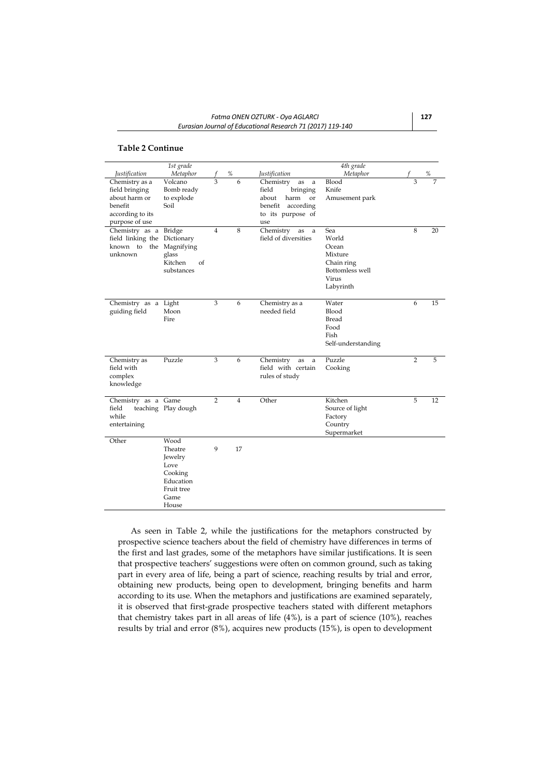#### **Table 2 Continue**

|                                                                                                    | 1st grade                                                                                 |                |                |                                                                                                                   | 4th grade                                                                               |                |    |
|----------------------------------------------------------------------------------------------------|-------------------------------------------------------------------------------------------|----------------|----------------|-------------------------------------------------------------------------------------------------------------------|-----------------------------------------------------------------------------------------|----------------|----|
| <i>Justification</i>                                                                               | Metaphor                                                                                  |                | %              | <i>Justification</i>                                                                                              | Metaphor                                                                                |                | %  |
| Chemistry as a<br>field bringing<br>about harm or<br>benefit<br>according to its<br>purpose of use | Volcano<br>Bomb ready<br>to explode<br>Soil                                               | 3              | 6              | Chemistry<br>as<br>a<br>field<br>bringing<br>about<br>harm<br>or<br>benefit according<br>to its purpose of<br>use | Blood<br>Knife<br>Amusement park                                                        | 3              |    |
| Chemistry as a<br>field linking the Dictionary<br>known to the Magnifying<br>unknown               | Bridge<br>glass<br>Kitchen<br>of<br>substances                                            | $\overline{4}$ | 8              | Chemistry<br>as<br>a<br>field of diversities                                                                      | Sea<br>World<br>Ocean<br>Mixture<br>Chain ring<br>Bottomless well<br>Virus<br>Labyrinth | 8              | 20 |
| Chemistry as a Light<br>guiding field                                                              | Moon<br>Fire                                                                              | 3              | 6              | Chemistry as a<br>needed field                                                                                    | Water<br>Blood<br>Bread<br>Food<br>Fish<br>Self-understanding                           | 6              | 15 |
| Chemistry as<br>field with<br>complex<br>knowledge                                                 | Puzzle                                                                                    | 3              | 6              | Chemistry<br>as<br>a<br>field with certain<br>rules of study                                                      | Puzzle<br>Cooking                                                                       | $\overline{2}$ | 5  |
| Chemistry as a Game<br>field<br>while<br>entertaining                                              | teaching Play dough                                                                       | $\overline{2}$ | $\overline{4}$ | Other                                                                                                             | Kitchen<br>Source of light<br>Factory<br>Country<br>Supermarket                         | 5              | 12 |
| Other                                                                                              | Wood<br>Theatre<br>Jewelry<br>Love<br>Cooking<br>Education<br>Fruit tree<br>Game<br>House | 9              | 17             |                                                                                                                   |                                                                                         |                |    |

As seen in Table 2, while the justifications for the metaphors constructed by prospective science teachers about the field of chemistry have differences in terms of the first and last grades, some of the metaphors have similar justifications. It is seen that prospective teachers' suggestions were often on common ground, such as taking part in every area of life, being a part of science, reaching results by trial and error, obtaining new products, being open to development, bringing benefits and harm according to its use. When the metaphors and justifications are examined separately, it is observed that first-grade prospective teachers stated with different metaphors that chemistry takes part in all areas of life (4%), is a part of science (10%), reaches results by trial and error (8%), acquires new products (15%), is open to development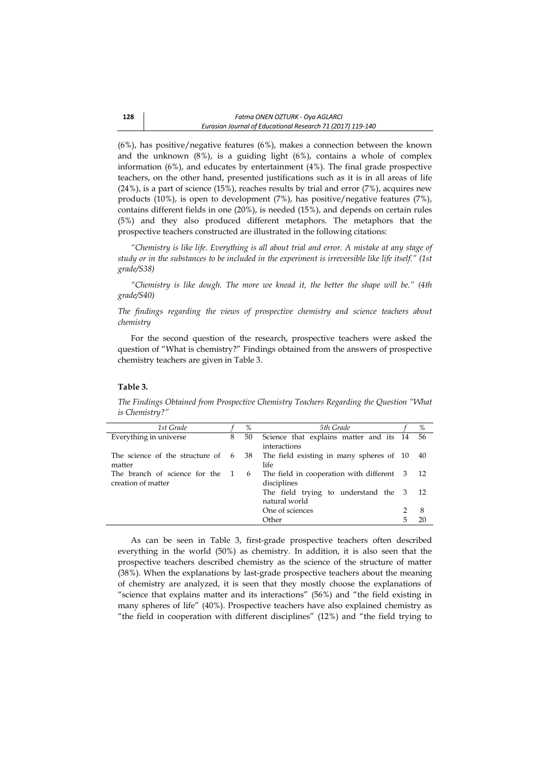(6%), has positive/negative features (6%), makes a connection between the known and the unknown (8%), is a guiding light (6%), contains a whole of complex information (6%), and educates by entertainment (4%). The final grade prospective teachers, on the other hand, presented justifications such as it is in all areas of life  $(24%)$ , is a part of science  $(15%)$ , reaches results by trial and error  $(7%)$ , acquires new products (10%), is open to development (7%), has positive/negative features (7%), contains different fields in one (20%), is needed (15%), and depends on certain rules (5%) and they also produced different metaphors. The metaphors that the prospective teachers constructed are illustrated in the following citations:

*"Chemistry is like life. Everything is all about trial and error. A mistake at any stage of study or in the substances to be included in the experiment is irreversible like life itself." (1st grade/S38)*

*"Chemistry is like dough. The more we knead it, the better the shape will be." (4th grade/S40)*

*The findings regarding the views of prospective chemistry and science teachers about chemistry* 

For the second question of the research, prospective teachers were asked the question of "What is chemistry?" Findings obtained from the answers of prospective chemistry teachers are given in Table 3.

#### **Table 3.**

*The Findings Obtained from Prospective Chemistry Teachers Regarding the Question "What is Chemistry?"*

| 1st Grade                                   |   | $\%$ | 5th Grade                                 |   | %    |
|---------------------------------------------|---|------|-------------------------------------------|---|------|
| Everything in universe                      | 8 | 50   | Science that explains matter and its 14   |   | 56   |
|                                             |   |      | interactions                              |   |      |
| The science of the structure of $6\quad 38$ |   |      | The field existing in many spheres of 10  |   | 40   |
| matter                                      |   |      | life.                                     |   |      |
| The branch of science for the 1             |   | 6    | The field in cooperation with different 3 |   | - 12 |
| creation of matter                          |   |      | disciplines                               |   |      |
|                                             |   |      | The field trying to understand the 3      |   | - 12 |
|                                             |   |      | natural world                             |   |      |
|                                             |   |      | One of sciences                           |   | 8    |
|                                             |   |      | Other                                     | 5 | 20   |
|                                             |   |      |                                           |   |      |

As can be seen in Table 3, first-grade prospective teachers often described everything in the world (50%) as chemistry. In addition, it is also seen that the prospective teachers described chemistry as the science of the structure of matter (38%). When the explanations by last-grade prospective teachers about the meaning of chemistry are analyzed, it is seen that they mostly choose the explanations of "science that explains matter and its interactions" (56%) and "the field existing in many spheres of life" (40%). Prospective teachers have also explained chemistry as "the field in cooperation with different disciplines" (12%) and "the field trying to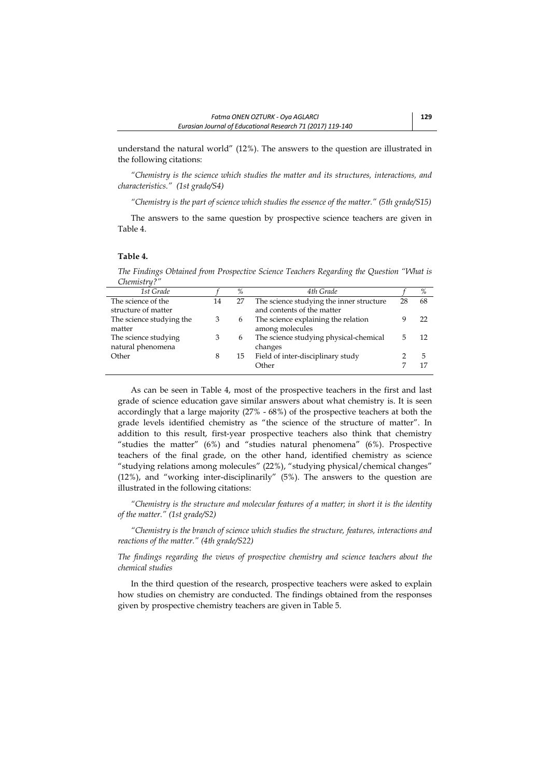understand the natural world" (12%). The answers to the question are illustrated in the following citations:

*"Chemistry is the science which studies the matter and its structures, interactions, and characteristics." (1st grade/S4)*

*"Chemistry is the part of science which studies the essence of the matter." (5th grade/S15)* 

The answers to the same question by prospective science teachers are given in Table 4.

#### **Table 4.**

*The Findings Obtained from Prospective Science Teachers Regarding the Question "What is Chemistry?"*

| 1st Grade                                 |    | %  | 4th Grade                                                              |    | %  |
|-------------------------------------------|----|----|------------------------------------------------------------------------|----|----|
| The science of the<br>structure of matter | 14 | 27 | The science studying the inner structure<br>and contents of the matter | 28 | 68 |
| The science studying the<br>matter        |    | 6  | The science explaining the relation<br>among molecules                 |    | フフ |
| The science studying<br>natural phenomena | 3  | 6  | The science studying physical-chemical<br>changes                      | 5  | 12 |
| Other                                     | 8  | 15 | Field of inter-disciplinary study<br>Other                             |    | 5  |

As can be seen in Table 4, most of the prospective teachers in the first and last grade of science education gave similar answers about what chemistry is. It is seen accordingly that a large majority (27% - 68%) of the prospective teachers at both the grade levels identified chemistry as "the science of the structure of matter". In addition to this result, first-year prospective teachers also think that chemistry "studies the matter" (6%) and "studies natural phenomena" (6%). Prospective teachers of the final grade, on the other hand, identified chemistry as science "studying relations among molecules" (22%), "studying physical/chemical changes" (12%), and "working inter-disciplinarily" (5%). The answers to the question are illustrated in the following citations:

*"Chemistry is the structure and molecular features of a matter; in short it is the identity of the matter." (1st grade/S2)*

*"Chemistry is the branch of science which studies the structure, features, interactions and reactions of the matter." (4th grade/S22)*

*The findings regarding the views of prospective chemistry and science teachers about the chemical studies*

In the third question of the research, prospective teachers were asked to explain how studies on chemistry are conducted. The findings obtained from the responses given by prospective chemistry teachers are given in Table 5.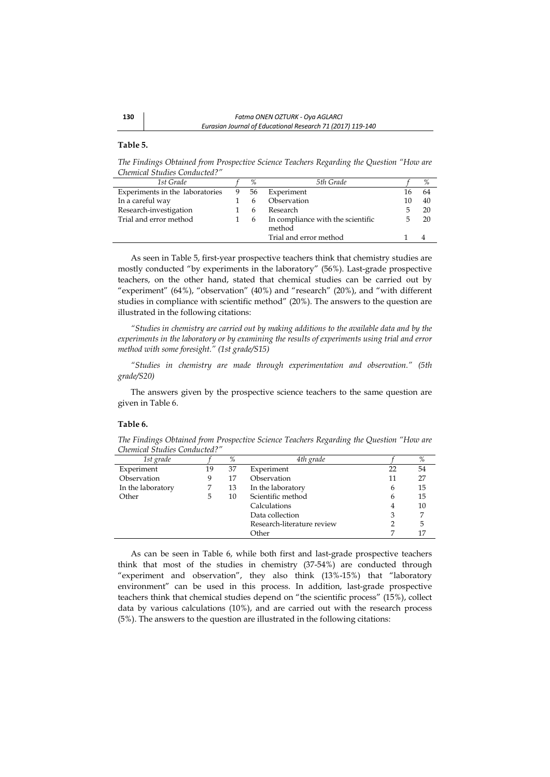# **Table 5.**

*The Findings Obtained from Prospective Science Teachers Regarding the Question "How are Chemical Studies Conducted?"*

| 1st Grade                       | %  | 5th Grade                                   |    | %  |
|---------------------------------|----|---------------------------------------------|----|----|
| Experiments in the laboratories | 56 | Experiment                                  | 16 | 64 |
| In a careful way                | h  | Observation                                 | 10 | 40 |
| Research-investigation          | h  | Research                                    |    | 20 |
| Trial and error method          | 6  | In compliance with the scientific<br>method |    | 20 |
|                                 |    | Trial and error method                      |    |    |

As seen in Table 5, first-year prospective teachers think that chemistry studies are mostly conducted "by experiments in the laboratory" (56%). Last-grade prospective teachers, on the other hand, stated that chemical studies can be carried out by "experiment" (64%), "observation" (40%) and "research" (20%), and "with different studies in compliance with scientific method" (20%). The answers to the question are illustrated in the following citations:

*"Studies in chemistry are carried out by making additions to the available data and by the experiments in the laboratory or by examining the results of experiments using trial and error method with some foresight." (1st grade/S15)*

*"Studies in chemistry are made through experimentation and observation." (5th grade/S20)*

The answers given by the prospective science teachers to the same question are given in Table 6.

#### **Table 6.**

*The Findings Obtained from Prospective Science Teachers Regarding the Question "How are Chemical Studies Conducted?"*

| 1st grade         |    | $\%$ | 4th grade                  |    | %  |
|-------------------|----|------|----------------------------|----|----|
| Experiment        | 19 | 37   | Experiment                 | 22 | 54 |
| Observation       | 9  | 17   | Observation                | 11 | 27 |
| In the laboratory |    | 13   | In the laboratory          | 6  | 15 |
| Other             | 5  | 10   | Scientific method          | 6  | 15 |
|                   |    |      | Calculations               | 4  | 10 |
|                   |    |      | Data collection            | 3  |    |
|                   |    |      | Research-literature review |    | 5  |
|                   |    |      | Other                      |    | 17 |

As can be seen in Table 6, while both first and last-grade prospective teachers think that most of the studies in chemistry (37-54%) are conducted through "experiment and observation", they also think (13%-15%) that "laboratory environment" can be used in this process. In addition, last-grade prospective teachers think that chemical studies depend on "the scientific process" (15%), collect data by various calculations (10%), and are carried out with the research process (5%). The answers to the question are illustrated in the following citations: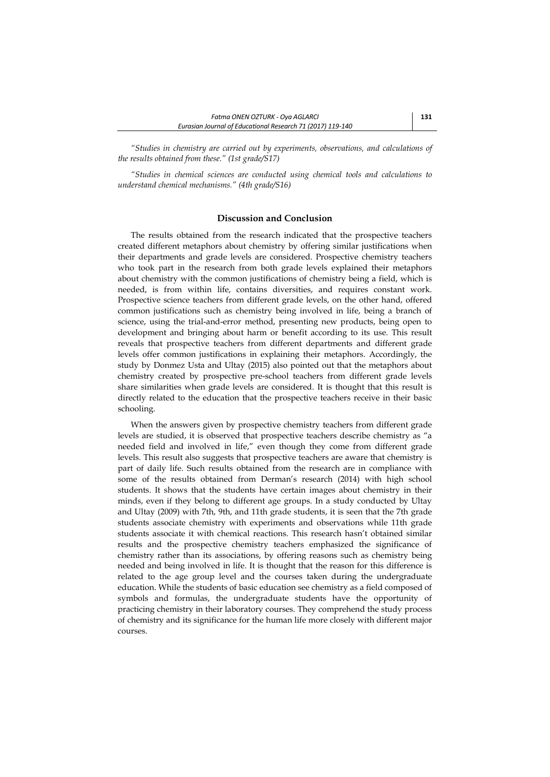*"Studies in chemistry are carried out by experiments, observations, and calculations of the results obtained from these." (1st grade/S17)*

*"Studies in chemical sciences are conducted using chemical tools and calculations to understand chemical mechanisms." (4th grade/S16)*

# **Discussion and Conclusion**

The results obtained from the research indicated that the prospective teachers created different metaphors about chemistry by offering similar justifications when their departments and grade levels are considered. Prospective chemistry teachers who took part in the research from both grade levels explained their metaphors about chemistry with the common justifications of chemistry being a field, which is needed, is from within life, contains diversities, and requires constant work. Prospective science teachers from different grade levels, on the other hand, offered common justifications such as chemistry being involved in life, being a branch of science, using the trial-and-error method, presenting new products, being open to development and bringing about harm or benefit according to its use. This result reveals that prospective teachers from different departments and different grade levels offer common justifications in explaining their metaphors. Accordingly, the study by Donmez Usta and Ultay (2015) also pointed out that the metaphors about chemistry created by prospective pre-school teachers from different grade levels share similarities when grade levels are considered. It is thought that this result is directly related to the education that the prospective teachers receive in their basic schooling.

When the answers given by prospective chemistry teachers from different grade levels are studied, it is observed that prospective teachers describe chemistry as "a needed field and involved in life," even though they come from different grade levels. This result also suggests that prospective teachers are aware that chemistry is part of daily life. Such results obtained from the research are in compliance with some of the results obtained from Derman's research (2014) with high school students. It shows that the students have certain images about chemistry in their minds, even if they belong to different age groups. In a study conducted by Ultay and Ultay (2009) with 7th, 9th, and 11th grade students, it is seen that the 7th grade students associate chemistry with experiments and observations while 11th grade students associate it with chemical reactions. This research hasn't obtained similar results and the prospective chemistry teachers emphasized the significance of chemistry rather than its associations, by offering reasons such as chemistry being needed and being involved in life. It is thought that the reason for this difference is related to the age group level and the courses taken during the undergraduate education. While the students of basic education see chemistry as a field composed of symbols and formulas, the undergraduate students have the opportunity of practicing chemistry in their laboratory courses. They comprehend the study process of chemistry and its significance for the human life more closely with different major courses.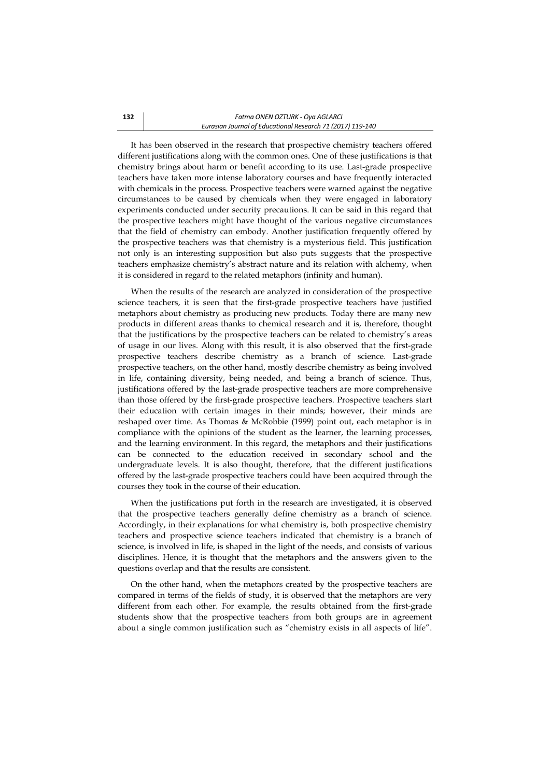It has been observed in the research that prospective chemistry teachers offered different justifications along with the common ones. One of these justifications is that chemistry brings about harm or benefit according to its use. Last-grade prospective teachers have taken more intense laboratory courses and have frequently interacted with chemicals in the process. Prospective teachers were warned against the negative circumstances to be caused by chemicals when they were engaged in laboratory experiments conducted under security precautions. It can be said in this regard that the prospective teachers might have thought of the various negative circumstances that the field of chemistry can embody. Another justification frequently offered by the prospective teachers was that chemistry is a mysterious field. This justification not only is an interesting supposition but also puts suggests that the prospective teachers emphasize chemistry's abstract nature and its relation with alchemy, when it is considered in regard to the related metaphors (infinity and human).

When the results of the research are analyzed in consideration of the prospective science teachers, it is seen that the first-grade prospective teachers have justified metaphors about chemistry as producing new products. Today there are many new products in different areas thanks to chemical research and it is, therefore, thought that the justifications by the prospective teachers can be related to chemistry's areas of usage in our lives. Along with this result, it is also observed that the first-grade prospective teachers describe chemistry as a branch of science. Last-grade prospective teachers, on the other hand, mostly describe chemistry as being involved in life, containing diversity, being needed, and being a branch of science. Thus, justifications offered by the last-grade prospective teachers are more comprehensive than those offered by the first-grade prospective teachers. Prospective teachers start their education with certain images in their minds; however, their minds are reshaped over time. As Thomas & McRobbie (1999) point out, each metaphor is in compliance with the opinions of the student as the learner, the learning processes, and the learning environment. In this regard, the metaphors and their justifications can be connected to the education received in secondary school and the undergraduate levels. It is also thought, therefore, that the different justifications offered by the last-grade prospective teachers could have been acquired through the courses they took in the course of their education.

When the justifications put forth in the research are investigated, it is observed that the prospective teachers generally define chemistry as a branch of science. Accordingly, in their explanations for what chemistry is, both prospective chemistry teachers and prospective science teachers indicated that chemistry is a branch of science, is involved in life, is shaped in the light of the needs, and consists of various disciplines. Hence, it is thought that the metaphors and the answers given to the questions overlap and that the results are consistent.

On the other hand, when the metaphors created by the prospective teachers are compared in terms of the fields of study, it is observed that the metaphors are very different from each other. For example, the results obtained from the first-grade students show that the prospective teachers from both groups are in agreement about a single common justification such as "chemistry exists in all aspects of life".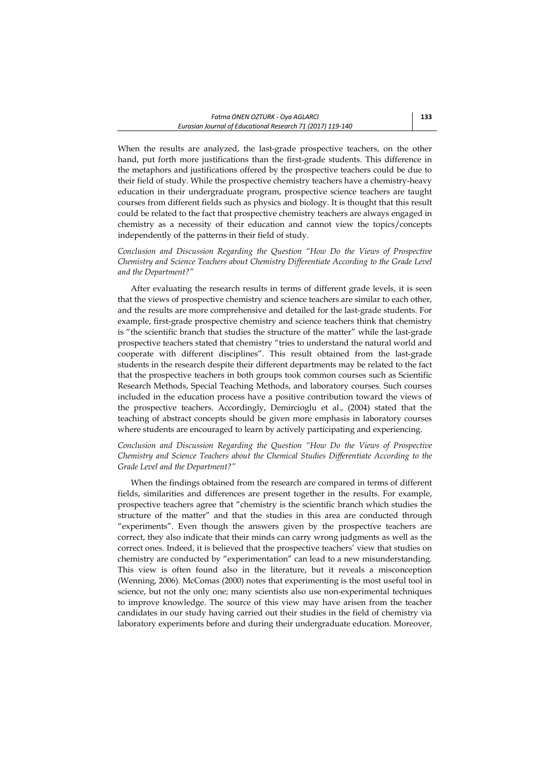When the results are analyzed, the last-grade prospective teachers, on the other hand, put forth more justifications than the first-grade students. This difference in the metaphors and justifications offered by the prospective teachers could be due to their field of study. While the prospective chemistry teachers have a chemistry-heavy education in their undergraduate program, prospective science teachers are taught courses from different fields such as physics and biology. It is thought that this result could be related to the fact that prospective chemistry teachers are always engaged in chemistry as a necessity of their education and cannot view the topics/concepts independently of the patterns in their field of study.

*Conclusion and Discussion Regarding the Question "How Do the Views of Prospective Chemistry and Science Teachers about Chemistry Differentiate According to the Grade Level and the Department?"*

After evaluating the research results in terms of different grade levels, it is seen that the views of prospective chemistry and science teachers are similar to each other, and the results are more comprehensive and detailed for the last-grade students. For example, first-grade prospective chemistry and science teachers think that chemistry is "the scientific branch that studies the structure of the matter" while the last-grade prospective teachers stated that chemistry "tries to understand the natural world and cooperate with different disciplines". This result obtained from the last-grade students in the research despite their different departments may be related to the fact that the prospective teachers in both groups took common courses such as Scientific Research Methods, Special Teaching Methods, and laboratory courses. Such courses included in the education process have a positive contribution toward the views of the prospective teachers. Accordingly, Demircioglu et al., (2004) stated that the teaching of abstract concepts should be given more emphasis in laboratory courses where students are encouraged to learn by actively participating and experiencing.

*Conclusion and Discussion Regarding the Question "How Do the Views of Prospective Chemistry and Science Teachers about the Chemical Studies Differentiate According to the Grade Level and the Department?"* 

When the findings obtained from the research are compared in terms of different fields, similarities and differences are present together in the results. For example, prospective teachers agree that "chemistry is the scientific branch which studies the structure of the matter" and that the studies in this area are conducted through "experiments". Even though the answers given by the prospective teachers are correct, they also indicate that their minds can carry wrong judgments as well as the correct ones. Indeed, it is believed that the prospective teachers' view that studies on chemistry are conducted by "experimentation" can lead to a new misunderstanding. This view is often found also in the literature, but it reveals a misconception (Wenning, 2006). McComas (2000) notes that experimenting is the most useful tool in science, but not the only one; many scientists also use non-experimental techniques to improve knowledge. The source of this view may have arisen from the teacher candidates in our study having carried out their studies in the field of chemistry via laboratory experiments before and during their undergraduate education. Moreover,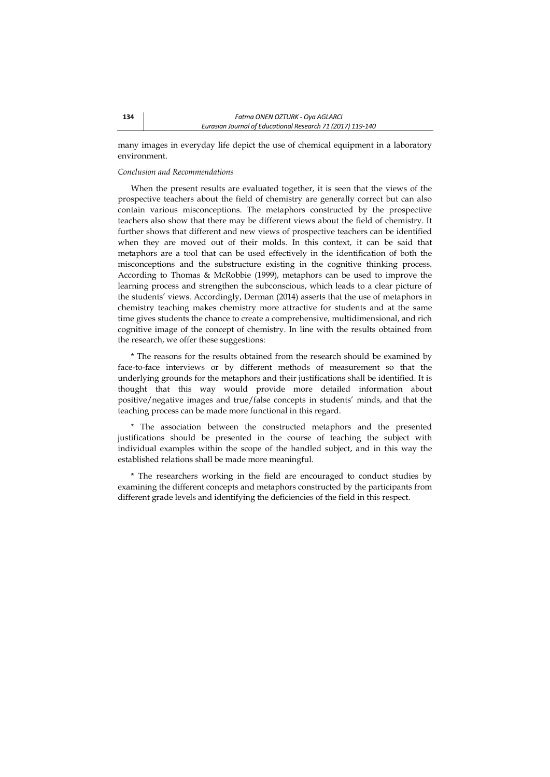many images in everyday life depict the use of chemical equipment in a laboratory environment.

#### *Conclusion and Recommendations*

When the present results are evaluated together, it is seen that the views of the prospective teachers about the field of chemistry are generally correct but can also contain various misconceptions. The metaphors constructed by the prospective teachers also show that there may be different views about the field of chemistry. It further shows that different and new views of prospective teachers can be identified when they are moved out of their molds. In this context, it can be said that metaphors are a tool that can be used effectively in the identification of both the misconceptions and the substructure existing in the cognitive thinking process. According to Thomas & McRobbie (1999), metaphors can be used to improve the learning process and strengthen the subconscious, which leads to a clear picture of the students' views. Accordingly, Derman (2014) asserts that the use of metaphors in chemistry teaching makes chemistry more attractive for students and at the same time gives students the chance to create a comprehensive, multidimensional, and rich cognitive image of the concept of chemistry. In line with the results obtained from the research, we offer these suggestions:

\* The reasons for the results obtained from the research should be examined by face-to-face interviews or by different methods of measurement so that the underlying grounds for the metaphors and their justifications shall be identified. It is thought that this way would provide more detailed information about positive/negative images and true/false concepts in students' minds, and that the teaching process can be made more functional in this regard.

\* The association between the constructed metaphors and the presented justifications should be presented in the course of teaching the subject with individual examples within the scope of the handled subject, and in this way the established relations shall be made more meaningful.

\* The researchers working in the field are encouraged to conduct studies by examining the different concepts and metaphors constructed by the participants from different grade levels and identifying the deficiencies of the field in this respect.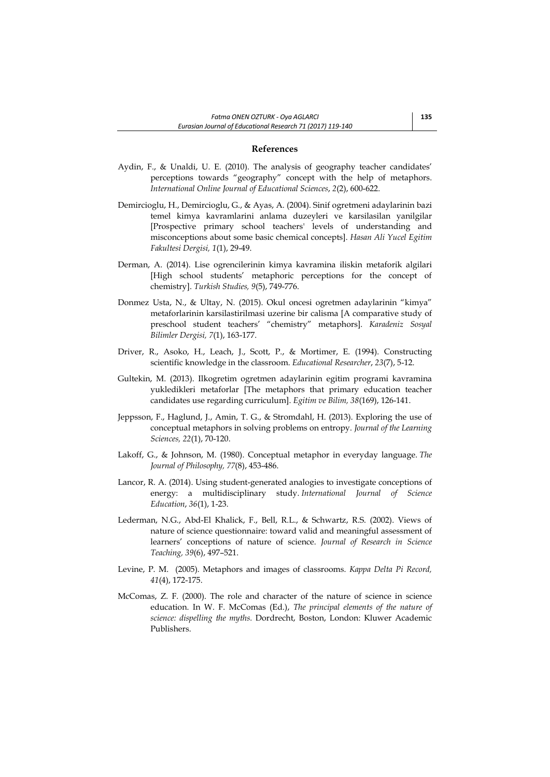### **References**

- Aydin, F., & Unaldi, U. E. (2010). The analysis of geography teacher candidates' perceptions towards "geography" concept with the help of metaphors. *International Online Journal of Educational Sciences*, *2*(2), 600-622.
- Demircioglu, H., Demircioglu, G., & Ayas, A. (2004). Sinif ogretmeni adaylarinin bazi temel kimya kavramlarini anlama duzeyleri ve karsilasilan yanilgilar [Prospective primary school teachers' levels of understanding and misconceptions about some basic chemical concepts]. *Hasan Ali Yucel Egitim Fakultesi Dergisi, 1*(1), 29-49.
- Derman, A. (2014). Lise ogrencilerinin kimya kavramina iliskin metaforik algilari [High school students' metaphoric perceptions for the concept of chemistry]. *Turkish Studies, 9*(5), 749-776.
- Donmez Usta, N., & Ultay, N. (2015). Okul oncesi ogretmen adaylarinin "kimya" metaforlarinin karsilastirilmasi uzerine bir calisma [A comparative study of preschool student teachers' "chemistry" metaphors]. *Karadeniz Sosyal Bilimler Dergisi, 7*(1), 163-177.
- Driver, R., Asoko, H., Leach, J., Scott, P., & Mortimer, E. (1994). Constructing scientific knowledge in the classroom. *Educational Researcher*, *23*(7), 5-12.
- Gultekin, M. (2013). Ilkogretim ogretmen adaylarinin egitim programi kavramina yukledikleri metaforlar [The metaphors that primary education teacher candidates use regarding curriculum]. *Egitim ve Bilim, 38*(169), 126-141.
- Jeppsson, F., Haglund, J., Amin, T. G., & Stromdahl, H. (2013). Exploring the use of conceptual metaphors in solving problems on entropy. *Journal of the Learning Sciences, 22*(1), 70-120.
- Lakoff, G., & Johnson, M. (1980). Conceptual metaphor in everyday language. *The Journal of Philosophy, 77*(8), 453-486.
- Lancor, R. A. (2014). Using student-generated analogies to investigate conceptions of energy: a multidisciplinary study. *International Journal of Science Education*, *36*(1), 1-23.
- Lederman, N.G., Abd-El Khalick, F., Bell, R.L., & Schwartz, R.S. (2002). Views of nature of science questionnaire: toward valid and meaningful assessment of learners' conceptions of nature of science. *Journal of Research in Science Teaching, 39*(6), 497–521.
- Levine, P. M. (2005). Metaphors and images of classrooms. *Kappa Delta Pi Record, 41*(4), 172-175.
- McComas, Z. F. (2000). The role and character of the nature of science in science education. In W. F. McComas (Ed.), *The principal elements of the nature of science: dispelling the myths.* Dordrecht, Boston, London: Kluwer Academic Publishers.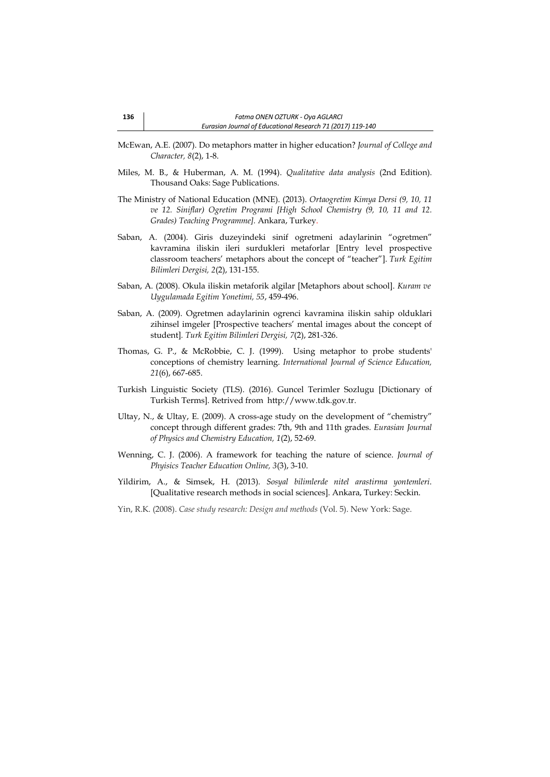- McEwan, A.E. (2007). Do metaphors matter in higher education? *Journal of College and Character, 8*(2), 1-8.
- Miles, M. B., & Huberman, A. M. (1994). *Qualitative data analysis* (2nd Edition). Thousand Oaks: Sage Publications.
- The Ministry of National Education (MNE). (2013). *Ortaogretim Kimya Dersi (9, 10, 11 ve 12. Siniflar) Ogretim Programi [High School Chemistry (9, 10, 11 and 12. Grades) Teaching Programme].* Ankara, Turkey.
- Saban, A. (2004). Giris duzeyindeki sinif ogretmeni adaylarinin "ogretmen" kavramina iliskin ileri surdukleri metaforlar [Entry level prospective classroom teachers' metaphors about the concept of "teacher"]. *Turk Egitim Bilimleri Dergisi, 2*(2), 131-155.
- Saban, A. (2008). Okula iliskin metaforik algilar [Metaphors about school]. *Kuram ve Uygulamada Egitim Yonetimi, 55*, 459-496.
- Saban, A. (2009). Ogretmen adaylarinin ogrenci kavramina iliskin sahip olduklari zihinsel imgeler [Prospective teachers' mental images about the concept of student]*. Turk Egitim Bilimleri Dergisi, 7*(2), 281-326.
- Thomas, G. P., & McRobbie, C. J. (1999). Using metaphor to probe students' conceptions of chemistry learning. *International Journal of Science Education, 21*(6), 667-685.
- [Turkish Linguistic Society](http://tureng.com/tr/turkce-ingilizce/turkish%20linguistic%20society) (TLS). (2016). Guncel Terimler Sozlugu [Dictionary of Turkish Terms]. Retrived from http://www.tdk.gov.tr.
- Ultay, N., & Ultay, E. (2009). A cross-age study on the development of "chemistry" concept through different grades: 7th, 9th and 11th grades. *Eurasian Journal of Physics and Chemistry Education, 1*(2), 52-69.
- Wenning, C. J. (2006). A framework for teaching the nature of science. *Journal of Phyisics Teacher Education Online, 3*(3), 3-10.
- Yildirim, A., & Simsek, H. (2013). *Sosyal bilimlerde nitel arastirma yontemleri*. [Qualitative research methods in social sciences]. Ankara, Turkey: Seckin.
- Yin, R.K. (2008). *Case study research: Design and methods* (Vol. 5). New York: Sage.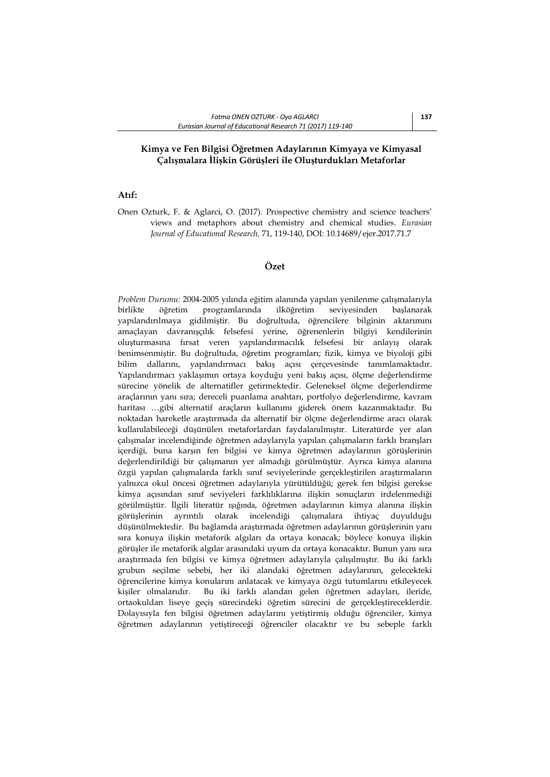# **Kimya ve Fen Bilgisi Öğretmen Adaylarının Kimyaya ve Kimyasal Çalışmalara İlişkin Görüşleri ile Oluşturdukları Metaforlar**

# **Atıf:**

Onen Ozturk, F. & Aglarci, O. (2017). Prospective chemistry and science teachers' views and metaphors about chemistry and chemical studies. *Eurasian Journal of Educational Research,* 71, 119-140, DOI: 10.14689/ejer.2017.71.7

# **Özet**

*Problem Durumu:* 2004-2005 yılında eğitim alanında yapılan yenilenme çalışmalarıyla birlikte öğretim programlarında ilköğretim seviyesinden başlanarak yapılandırılmaya gidilmiştir. Bu doğrultuda, öğrencilere bilginin aktarımını amaçlayan davranışçılık felsefesi yerine, öğrenenlerin bilgiyi kendilerinin oluşturmasına fırsat veren yapılandırmacılık felsefesi bir anlayış olarak benimsenmiştir. Bu doğrultuda, öğretim programları; fizik, kimya ve biyoloji gibi bilim dallarını, yapılandırmacı bakış açısı çerçevesinde tanımlamaktadır. Yapılandırmacı yaklaşımın ortaya koyduğu yeni bakış açısı, ölçme değerlendirme sürecine yönelik de alternatifler getirmektedir. Geleneksel ölçme değerlendirme araçlarının yanı sıra; dereceli puanlama anahtarı, portfolyo değerlendirme, kavram haritası …gibi alternatif araçların kullanımı giderek önem kazanmaktadır. Bu noktadan hareketle araştırmada da alternatif bir ölçme değerlendirme aracı olarak kullanılabileceği düşünülen metaforlardan faydalanılmıştır. Literatürde yer alan çalışmalar incelendiğinde öğretmen adaylarıyla yapılan çalışmaların farklı branşları içerdiği, buna karşın fen bilgisi ve kimya öğretmen adaylarının görüşlerinin değerlendirildiği bir çalışmanın yer almadığı görülmüştür. Ayrıca kimya alanına özgü yapılan çalışmalarda farklı sınıf seviyelerinde gerçekleştirilen araştırmaların yalnızca okul öncesi öğretmen adaylarıyla yürütüldüğü; gerek fen bilgisi gerekse kimya açısından sınıf seviyeleri farklılıklarına ilişkin sonuçların irdelenmediği görülmüştür. İlgili literatür ışığında, öğretmen adaylarının kimya alanına ilişkin görüşlerinin ayrıntılı olarak incelendiği çalışmalara ihtiyaç duyulduğu düşünülmektedir. Bu bağlamda araştırmada öğretmen adaylarının görüşlerinin yanı sıra konuya ilişkin metaforik algıları da ortaya konacak; böylece konuya ilişkin görüşler ile metaforik algılar arasındaki uyum da ortaya konacaktır. Bunun yanı sıra araştırmada fen bilgisi ve kimya öğretmen adaylarıyla çalışılmıştır. Bu iki farklı grubun seçilme sebebi, her iki alandaki öğretmen adaylarının, gelecekteki öğrencilerine kimya konularını anlatacak ve kimyaya özgü tutumlarını etkileyecek kişiler olmalarıdır. Bu iki farklı alandan gelen öğretmen adayları, ileride, ortaokuldan liseye geçiş sürecindeki öğretim sürecini de gerçekleştireceklerdir. Dolayısıyla fen bilgisi öğretmen adaylarını yetiştirmiş olduğu öğrenciler, kimya öğretmen adaylarının yetiştireceği öğrenciler olacaktır ve bu sebeple farklı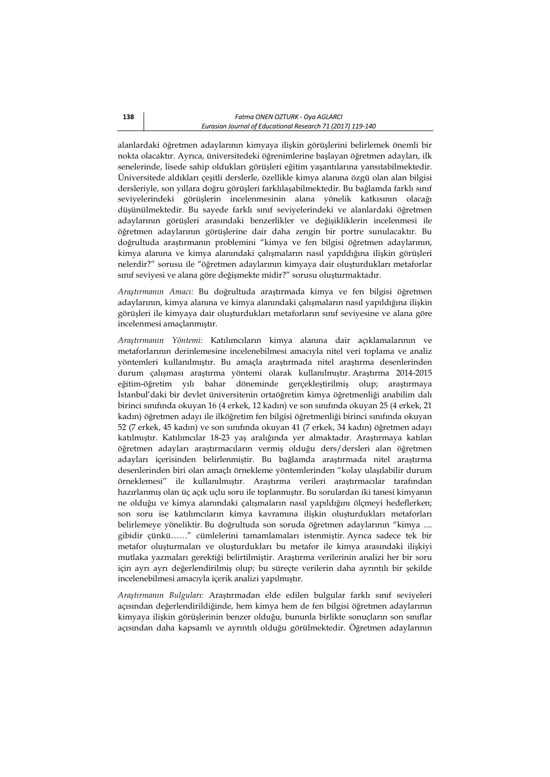alanlardaki öğretmen adaylarının kimyaya ilişkin görüşlerini belirlemek önemli bir nokta olacaktır. Ayrıca, üniversitedeki öğrenimlerine başlayan öğretmen adayları, ilk senelerinde, lisede sahip oldukları görüşleri eğitim yaşantılarına yansıtabilmektedir. Üniversitede aldıkları çeşitli derslerle, özellikle kimya alanına özgü olan alan bilgisi dersleriyle, son yıllara doğru görüşleri farklılaşabilmektedir. Bu bağlamda farklı sınıf seviyelerindeki görüşlerin incelenmesinin alana yönelik katkısının olacağı düşünülmektedir. Bu sayede farklı sınıf seviyelerindeki ve alanlardaki öğretmen adaylarının görüşleri arasındaki benzerlikler ve değişikliklerin incelenmesi ile öğretmen adaylarının görüşlerine dair daha zengin bir portre sunulacaktır. Bu doğrultuda araştırmanın problemini "kimya ve fen bilgisi öğretmen adaylarının, kimya alanına ve kimya alanındaki çalışmaların nasıl yapıldığına ilişkin görüşleri nelerdir?" sorusu ile "öğretmen adaylarının kimyaya dair oluşturdukları metaforlar sınıf seviyesi ve alana göre değişmekte midir?" sorusu oluşturmaktadır.

*Araştırmanın Amacı:* Bu doğrultuda araştırmada kimya ve fen bilgisi öğretmen adaylarının, kimya alanına ve kimya alanındaki çalışmaların nasıl yapıldığına ilişkin görüşleri ile kimyaya dair oluşturdukları metaforların sınıf seviyesine ve alana göre incelenmesi amaçlanmıştır.

*Araştırmanın Yöntemi:* Katılımcıların kimya alanına dair açıklamalarının ve metaforlarının derinlemesine incelenebilmesi amacıyla nitel veri toplama ve analiz yöntemleri kullanılmıştır. Bu amaçla araştırmada nitel araştırma desenlerinden durum çalışması araştırma yöntemi olarak kullanılmıştır. Araştırma 2014-2015 eğitim-öğretim yılı bahar döneminde gerçekleştirilmiş olup; araştırmaya İstanbul'daki bir devlet üniversitenin ortaöğretim kimya öğretmenliği anabilim dalı birinci sınıfında okuyan 16 (4 erkek, 12 kadın) ve son sınıfında okuyan 25 (4 erkek, 21 kadın) öğretmen adayı ile ilköğretim fen bilgisi öğretmenliği birinci sınıfında okuyan 52 (7 erkek, 45 kadın) ve son sınıfında okuyan 41 (7 erkek, 34 kadın) öğretmen adayı katılmıştır. Katılımcılar 18-23 yaş aralığında yer almaktadır. Araştırmaya katılan öğretmen adayları araştırmacıların vermiş olduğu ders/dersleri alan öğretmen adayları içerisinden belirlenmiştir. Bu bağlamda araştırmada nitel araştırma desenlerinden biri olan amaçlı örnekleme yöntemlerinden "kolay ulaşılabilir durum örneklemesi" ile kullanılmıştır. Araştırma verileri araştırmacılar tarafından hazırlanmış olan üç açık uçlu soru ile toplanmıştır. Bu sorulardan iki tanesi kimyanın ne olduğu ve kimya alanındaki çalışmaların nasıl yapıldığını ölçmeyi hedeflerken; son soru ise katılımcıların kimya kavramına ilişkin oluşturdukları metaforları belirlemeye yöneliktir. Bu doğrultuda son soruda öğretmen adaylarının "kimya .... gibidir çünkü……" cümlelerini tamamlamaları istenmiştir. Ayrıca sadece tek bir metafor oluşturmaları ve oluşturdukları bu metafor ile kimya arasındaki ilişkiyi mutlaka yazmaları gerektiği belirtilmiştir. Araştırma verilerinin analizi her bir soru için ayrı ayrı değerlendirilmiş olup; bu süreçte verilerin daha ayrıntılı bir şekilde incelenebilmesi amacıyla içerik analizi yapılmıştır.

*Araştırmanın Bulguları:* Araştırmadan elde edilen bulgular farklı sınıf seviyeleri açısından değerlendirildiğinde, hem kimya hem de fen bilgisi öğretmen adaylarının kimyaya ilişkin görüşlerinin benzer olduğu, bununla birlikte sonuçların son sınıflar açısından daha kapsamlı ve ayrıntılı olduğu görülmektedir. Öğretmen adaylarının